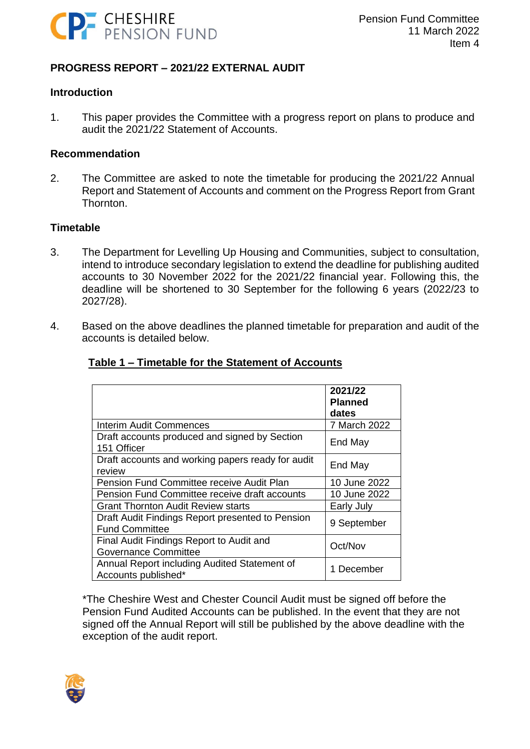

# **PROGRESS REPORT – 2021/22 EXTERNAL AUDIT**

#### **Introduction**

1. This paper provides the Committee with a progress report on plans to produce and audit the 2021/22 Statement of Accounts.

#### **Recommendation**

2. The Committee are asked to note the timetable for producing the 2021/22 Annual Report and Statement of Accounts and comment on the Progress Report from Grant Thornton.

## **Timetable**

- 3. The Department for Levelling Up Housing and Communities, subject to consultation, intend to introduce secondary legislation to extend the deadline for publishing audited accounts to 30 November 2022 for the 2021/22 financial year. Following this, the deadline will be shortened to 30 September for the following 6 years (2022/23 to 2027/28).
- 4. Based on the above deadlines the planned timetable for preparation and audit of the accounts is detailed below.

|                                                                           | 2021/22<br><b>Planned</b><br>dates |
|---------------------------------------------------------------------------|------------------------------------|
| <b>Interim Audit Commences</b>                                            | 7 March 2022                       |
| Draft accounts produced and signed by Section<br>151 Officer              | End May                            |
| Draft accounts and working papers ready for audit<br>review               | End May                            |
| Pension Fund Committee receive Audit Plan                                 | 10 June 2022                       |
| Pension Fund Committee receive draft accounts                             | 10 June 2022                       |
| <b>Grant Thornton Audit Review starts</b>                                 | Early July                         |
| Draft Audit Findings Report presented to Pension<br><b>Fund Committee</b> | 9 September                        |
| Final Audit Findings Report to Audit and<br><b>Governance Committee</b>   | Oct/Nov                            |
| Annual Report including Audited Statement of<br>Accounts published*       | December                           |

## **Table 1 – Timetable for the Statement of Accounts**

\*The Cheshire West and Chester Council Audit must be signed off before the Pension Fund Audited Accounts can be published. In the event that they are not signed off the Annual Report will still be published by the above deadline with the exception of the audit report.